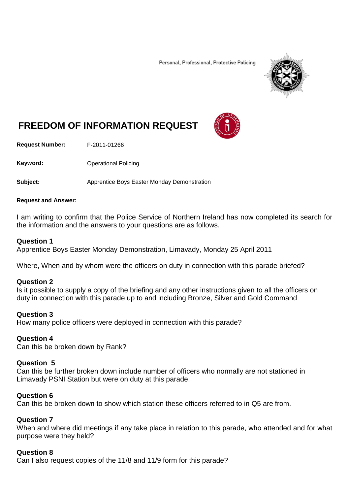Personal, Professional, Protective Policing



# **FREEDOM OF INFORMATION REQUEST**

**Request Number:** F-2011-01266

Keyword: **Channel Policing** Operational Policing

**Subject:** Apprentice Boys Easter Monday Demonstration

### **Request and Answer:**

I am writing to confirm that the Police Service of Northern Ireland has now completed its search for the information and the answers to your questions are as follows.

### **Question 1**

Apprentice Boys Easter Monday Demonstration, Limavady, Monday 25 April 2011

Where, When and by whom were the officers on duty in connection with this parade briefed?

### **Question 2**

Is it possible to supply a copy of the briefing and any other instructions given to all the officers on duty in connection with this parade up to and including Bronze, Silver and Gold Command

### **Question 3**

How many police officers were deployed in connection with this parade?

### **Question 4**

Can this be broken down by Rank?

### **Question 5**

Can this be further broken down include number of officers who normally are not stationed in Limavady PSNI Station but were on duty at this parade.

### **Question 6**

Can this be broken down to show which station these officers referred to in Q5 are from.

### **Question 7**

When and where did meetings if any take place in relation to this parade, who attended and for what purpose were they held?

### **Question 8**

Can I also request copies of the 11/8 and 11/9 form for this parade?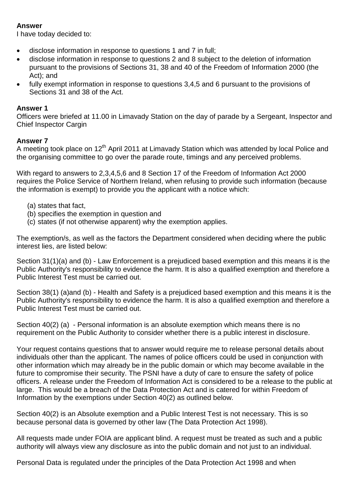### **Answer**

I have today decided to:

- disclose information in response to questions 1 and 7 in full;
- disclose information in response to questions 2 and 8 subject to the deletion of information pursuant to the provisions of Sections 31, 38 and 40 of the Freedom of Information 2000 (the Act); and
- fully exempt information in response to questions 3,4,5 and 6 pursuant to the provisions of Sections 31 and 38 of the Act.

### **Answer 1**

Officers were briefed at 11.00 in Limavady Station on the day of parade by a Sergeant, Inspector and Chief Inspector Cargin

### **Answer 7**

A meeting took place on 12<sup>th</sup> April 2011 at Limavady Station which was attended by local Police and the organising committee to go over the parade route, timings and any perceived problems.

With regard to answers to 2,3,4,5,6 and 8 Section 17 of the Freedom of Information Act 2000 requires the Police Service of Northern Ireland, when refusing to provide such information (because the information is exempt) to provide you the applicant with a notice which:

- (a) states that fact,
- (b) specifies the exemption in question and
- (c) states (if not otherwise apparent) why the exemption applies.

The exemption/s, as well as the factors the Department considered when deciding where the public interest lies, are listed below:

Section 31(1)(a) and (b) - Law Enforcement is a prejudiced based exemption and this means it is the Public Authority's responsibility to evidence the harm. It is also a qualified exemption and therefore a Public Interest Test must be carried out.

Section 38(1) (a)and (b) - Health and Safety is a prejudiced based exemption and this means it is the Public Authority's responsibility to evidence the harm. It is also a qualified exemption and therefore a Public Interest Test must be carried out.

Section 40(2) (a) - Personal information is an absolute exemption which means there is no requirement on the Public Authority to consider whether there is a public interest in disclosure.

Your request contains questions that to answer would require me to release personal details about individuals other than the applicant. The names of police officers could be used in conjunction with other information which may already be in the public domain or which may become available in the future to compromise their security. The PSNI have a duty of care to ensure the safety of police officers. A release under the Freedom of Information Act is considered to be a release to the public at large. This would be a breach of the Data Protection Act and is catered for within Freedom of Information by the exemptions under Section 40(2) as outlined below.

Section 40(2) is an Absolute exemption and a Public Interest Test is not necessary. This is so because personal data is governed by other law (The Data Protection Act 1998).

All requests made under FOIA are applicant blind. A request must be treated as such and a public authority will always view any disclosure as into the public domain and not just to an individual.

Personal Data is regulated under the principles of the Data Protection Act 1998 and when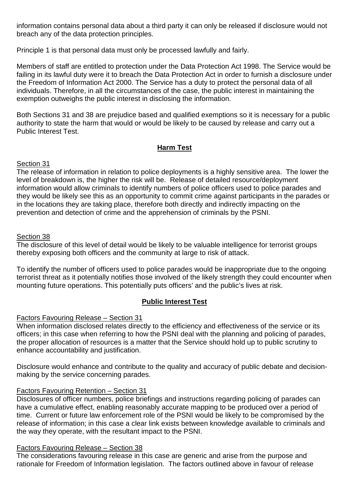information contains personal data about a third party it can only be released if disclosure would not breach any of the data protection principles.

Principle 1 is that personal data must only be processed lawfully and fairly.

Members of staff are entitled to protection under the Data Protection Act 1998. The Service would be failing in its lawful duty were it to breach the Data Protection Act in order to furnish a disclosure under the Freedom of Information Act 2000. The Service has a duty to protect the personal data of all individuals. Therefore, in all the circumstances of the case, the public interest in maintaining the exemption outweighs the public interest in disclosing the information.

Both Sections 31 and 38 are prejudice based and qualified exemptions so it is necessary for a public authority to state the harm that would or would be likely to be caused by release and carry out a Public Interest Test.

### **Harm Test**

### Section 31

The release of information in relation to police deployments is a highly sensitive area. The lower the level of breakdown is, the higher the risk will be. Release of detailed resource/deployment information would allow criminals to identify numbers of police officers used to police parades and they would be likely see this as an opportunity to commit crime against participants in the parades or in the locations they are taking place, therefore both directly and indirectly impacting on the prevention and detection of crime and the apprehension of criminals by the PSNI.

### Section 38

The disclosure of this level of detail would be likely to be valuable intelligence for terrorist groups thereby exposing both officers and the community at large to risk of attack.

To identify the number of officers used to police parades would be inappropriate due to the ongoing terrorist threat as it potentially notifies those involved of the likely strength they could encounter when mounting future operations. This potentially puts officers' and the public's lives at risk.

### **Public Interest Test**

### Factors Favouring Release – Section 31

When information disclosed relates directly to the efficiency and effectiveness of the service or its officers; in this case when referring to how the PSNI deal with the planning and policing of parades, the proper allocation of resources is a matter that the Service should hold up to public scrutiny to enhance accountability and justification.

Disclosure would enhance and contribute to the quality and accuracy of public debate and decisionmaking by the service concerning parades.

### Factors Favouring Retention – Section 31

Disclosures of officer numbers, police briefings and instructions regarding policing of parades can have a cumulative effect, enabling reasonably accurate mapping to be produced over a period of time. Current or future law enforcement role of the PSNI would be likely to be compromised by the release of information; in this case a clear link exists between knowledge available to criminals and the way they operate, with the resultant impact to the PSNI.

### Factors Favouring Release – Section 38

The considerations favouring release in this case are generic and arise from the purpose and rationale for Freedom of Information legislation. The factors outlined above in favour of release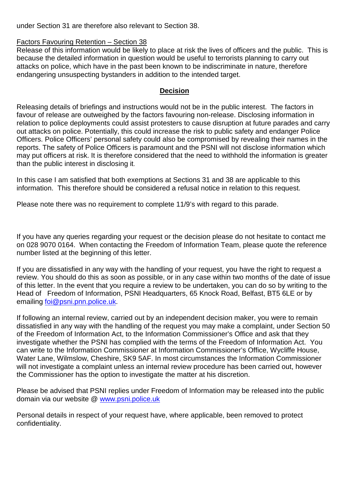under Section 31 are therefore also relevant to Section 38.

### Factors Favouring Retention – Section 38

Release of this information would be likely to place at risk the lives of officers and the public. This is because the detailed information in question would be useful to terrorists planning to carry out attacks on police, which have in the past been known to be indiscriminate in nature, therefore endangering unsuspecting bystanders in addition to the intended target.

### **Decision**

Releasing details of briefings and instructions would not be in the public interest. The factors in favour of release are outweighed by the factors favouring non-release. Disclosing information in relation to police deployments could assist protesters to cause disruption at future parades and carry out attacks on police. Potentially, this could increase the risk to public safety and endanger Police Officers. Police Officers' personal safety could also be compromised by revealing their names in the reports. The safety of Police Officers is paramount and the PSNI will not disclose information which may put officers at risk. It is therefore considered that the need to withhold the information is greater than the public interest in disclosing it.

In this case I am satisfied that both exemptions at Sections 31 and 38 are applicable to this information. This therefore should be considered a refusal notice in relation to this request.

Please note there was no requirement to complete 11/9's with regard to this parade.

If you have any queries regarding your request or the decision please do not hesitate to contact me on 028 9070 0164. When contacting the Freedom of Information Team, please quote the reference number listed at the beginning of this letter.

If you are dissatisfied in any way with the handling of your request, you have the right to request a review. You should do this as soon as possible, or in any case within two months of the date of issue of this letter. In the event that you require a review to be undertaken, you can do so by writing to the Head of Freedom of Information, PSNI Headquarters, 65 Knock Road, Belfast, BT5 6LE or by emailing [foi@psni.pnn.police.uk.](mailto:foi@psni.pnn.police.uk)

If following an internal review, carried out by an independent decision maker, you were to remain dissatisfied in any way with the handling of the request you may make a complaint, under Section 50 of the Freedom of Information Act, to the Information Commissioner's Office and ask that they investigate whether the PSNI has complied with the terms of the Freedom of Information Act. You can write to the Information Commissioner at Information Commissioner's Office, Wycliffe House, Water Lane, Wilmslow, Cheshire, SK9 5AF. In most circumstances the Information Commissioner will not investigate a complaint unless an internal review procedure has been carried out, however the Commissioner has the option to investigate the matter at his discretion.

Please be advised that PSNI replies under Freedom of Information may be released into the public domain via our website @ [www.psni.police.uk](http://www.psni.police.uk/)

Personal details in respect of your request have, where applicable, been removed to protect confidentiality.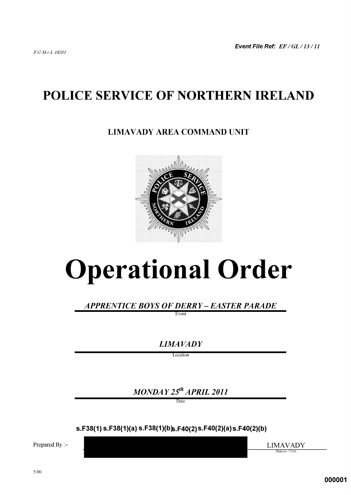# POLICE SERVICE OF NORTHERN IRELAND

### **LIMAVADY AREA COMMAND UNIT**



# **Operational Order**

APPRENTICE BOYS OF DERRY – EASTER PARADE

Event

**LIMAVADY** 

Location

 $MONDAY 25<sup>th</sup> APRIL 2011$ 

 $s.F38(1) s.F38(1)(a) s.F38(1)(b)s.F40(2)s.F40(2)(a)s.F40(2)(b)$ 

Prepared By :-

**LIMAVADY** Station / Unit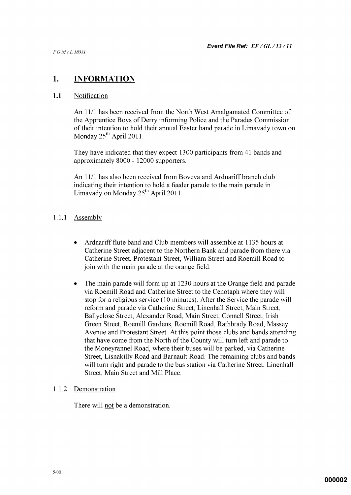#### 1. **INFORMATION**

#### $1.1$ Notification

An 11/1 has been received from the North West Amalgamated Committee of the Apprentice Boys of Derry informing Police and the Parades Commission of their intention to hold their annual Easter band parade in Limavady town on Monday  $25^{th}$  April 2011.

They have indicated that they expect 1300 participants from 41 bands and approximately 8000 - 12000 supporters.

An 11/1 has also been received from Boveva and Ardnariff branch club indicating their intention to hold a feeder parade to the main parade in Limavady on Monday  $25^{th}$  April 2011.

#### $1.1.1$ Assembly

- Ardnariff flute band and Club members will assemble at 1135 hours at  $\bullet$ Catherine Street adjacent to the Northern Bank and parade from there via Catherine Street, Protestant Street, William Street and Roemill Road to join with the main parade at the orange field.
- $\bullet$ The main parade will form up at 1230 hours at the Orange field and parade via Roemill Road and Catherine Street to the Cenotaph where they will stop for a religious service (10 minutes). After the Service the parade will reform and parade via Catherine Street, Linenhall Street, Main Street, Ballyclose Street, Alexander Road, Main Street, Connell Street, Irish Green Street, Roemill Gardens, Roemill Road, Rathbrady Road, Massey Avenue and Protestant Street. At this point those clubs and bands attending that have come from the North of the County will turn left and parade to the Moneyrannel Road, where their buses will be parked, via Catherine Street, Lisnakilly Road and Barnault Road. The remaining clubs and bands will turn right and parade to the bus station via Catherine Street, Linenhall Street, Main Street and Mill Place.

#### $1.1.2$ Demonstration

There will not be a demonstration.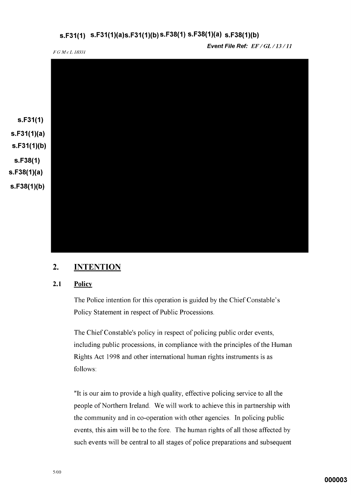### s.F31(1)  $s.F31(1)(a)s.F31(1)(b)s.F38(1)s.F38(1)(a) s.F38(1)(b)$

F G M c L 18331

Event File Ref: EF/GL/13/11



#### $2.$ **INTENTION**

#### $2.1$ **Policy**

The Police intention for this operation is guided by the Chief Constable's Policy Statement in respect of Public Processions.

The Chief Constable's policy in respect of policing public order events, including public processions, in compliance with the principles of the Human Rights Act 1998 and other international human rights instruments is as follows:

"It is our aim to provide a high quality, effective policing service to all the people of Northern Ireland. We will work to achieve this in partnership with the community and in co-operation with other agencies. In policing public events, this aim will be to the fore. The human rights of all those affected by such events will be central to all stages of police preparations and subsequent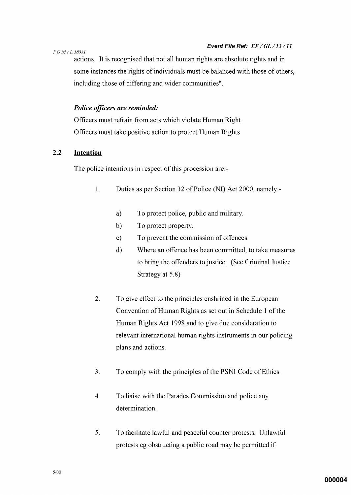### F G M c L 18331

actions. It is recognised that not all human rights are absolute rights and in some instances the rights of individuals must be balanced with those of others, including those of differing and wider communities".

### Police officers are reminded:

Officers must refrain from acts which violate Human Right Officers must take positive action to protect Human Rights

#### $2.2$ **Intention**

The police intentions in respect of this procession are:-

- $1<sub>1</sub>$ Duties as per Section 32 of Police (NI) Act 2000, namely:
	- $a)$ To protect police, public and military.
	- b) To protect property.
	- To prevent the commission of offences.  $\mathbf{c}$ )
	- $\mathbf{d}$ Where an offence has been committed, to take measures to bring the offenders to justice. (See Criminal Justice Strategy at 5.8)
- $\overline{2}$ . To give effect to the principles enshrined in the European Convention of Human Rights as set out in Schedule 1 of the Human Rights Act 1998 and to give due consideration to relevant international human rights instruments in our policing plans and actions.
- $3<sub>1</sub>$ To comply with the principles of the PSNI Code of Ethics.
- $\overline{4}$ . To liaise with the Parades Commission and police any determination.
- $5<sub>1</sub>$ To facilitate lawful and peaceful counter protests. Unlawful protests eg obstructing a public road may be permitted if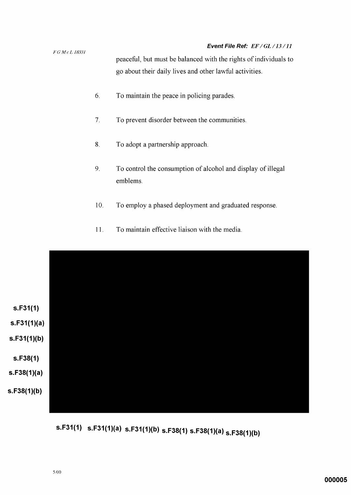### Event File Ref: EF/GL/13/11

 $FGMcL$  18331 peaceful, but must be balanced with the rights of individuals to go about their daily lives and other lawful activities.

- 6. To maintain the peace in policing parades.
- $7<sub>1</sub>$ To prevent disorder between the communities.
- 8. To adopt a partnership approach.
- 9. To control the consumption of alcohol and display of illegal emblems.
- 10. To employ a phased deployment and graduated response.
- $11.$ To maintain effective liaison with the media.



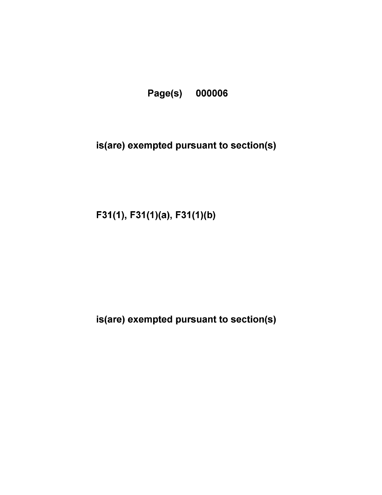

# is(are) exempted pursuant to section(s)

 $F31(1), F31(1)(a), F31(1)(b)$ 

is(are) exempted pursuant to section(s)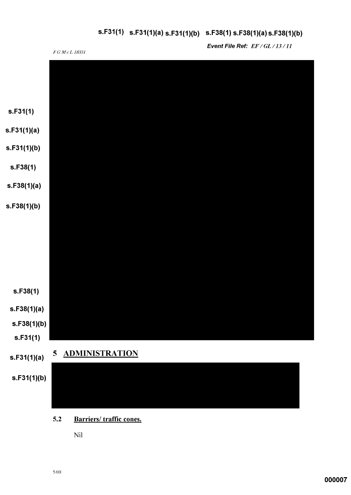# s.F31(1) s.F31(1)(a) s.F31(1)(b) s.F38(1) s.F38(1)(a) s.F38(1)(b)



Nil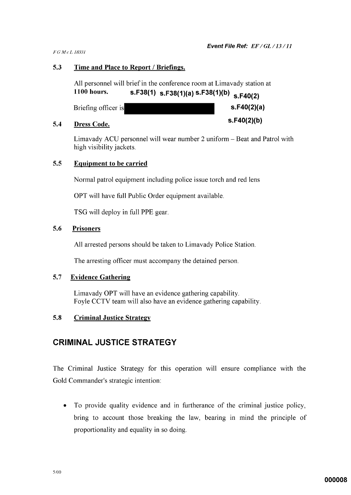$S.F40(2)(b)$ 

FGMcL18331

#### $5.3$ Time and Place to Report / Briefings.

All personnel will brief in the conference room at Limavady station at s.F38(1) s.F38(1)(a) s.F38(1)(b) s.F40(2) **1100 hours.** 

| Briefing officer is |  | s.F40(2)(a) |
|---------------------|--|-------------|
|---------------------|--|-------------|

#### $5.4$ **Dress Code.**

Limavady ACU personnel will wear number 2 uniform - Beat and Patrol with high visibility jackets.

#### $5.5$ **Equipment to be carried**

Normal patrol equipment including police issue torch and red lens

OPT will have full Public Order equipment available.

TSG will deploy in full PPE gear.

#### $5.6$ **Prisoners**

All arrested persons should be taken to Limavady Police Station.

The arresting officer must accompany the detained person.

#### $5.7$ **Evidence Gathering**

Limavady OPT will have an evidence gathering capability. Foyle CCTV team will also have an evidence gathering capability.

#### $5.8$ **Criminal Justice Strategy**

### **CRIMINAL JUSTICE STRATEGY**

The Criminal Justice Strategy for this operation will ensure compliance with the Gold Commander's strategic intention:

To provide quality evidence and in furtherance of the criminal justice policy,  $\bullet$ bring to account those breaking the law, bearing in mind the principle of proportionality and equality in so doing.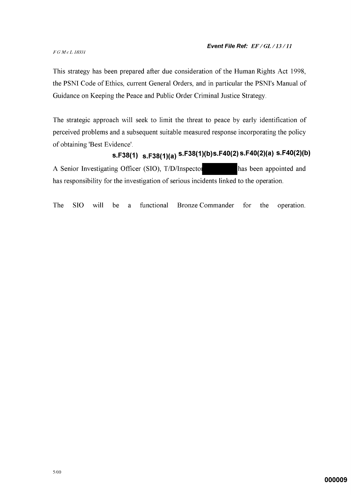### F G M c L 18331

This strategy has been prepared after due consideration of the Human Rights Act 1998, the PSNI Code of Ethics, current General Orders, and in particular the PSNI's Manual of Guidance on Keeping the Peace and Public Order Criminal Justice Strategy.

The strategic approach will seek to limit the threat to peace by early identification of perceived problems and a subsequent suitable measured response incorporating the policy of obtaining 'Best Evidence'.

# s.F38(1) s.F38(1)(a) s.F38(1)(b)s.F40(2) s.F40(2)(a) s.F40(2)(b)

A Senior Investigating Officer (SIO), T/D/Inspector has been appointed and has responsibility for the investigation of serious incidents linked to the operation.

functional The **SIO** will be **Bronze Commander** for the operation. a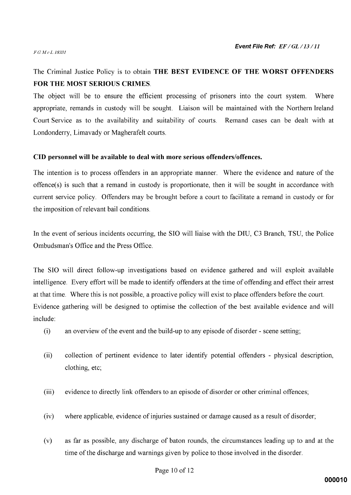### FGMcL18331

### The Criminal Justice Policy is to obtain THE BEST EVIDENCE OF THE WORST OFFENDERS **FOR THE MOST SERIOUS CRIMES.**

The object will be to ensure the efficient processing of prisoners into the court system. Where appropriate, remands in custody will be sought. Liaison will be maintained with the Northern Ireland Court Service as to the availability and suitability of courts. Remand cases can be dealt with at Londonderry, Limavady or Magherafelt courts.

### CID personnel will be available to deal with more serious offenders/offences.

The intention is to process offenders in an appropriate manner. Where the evidence and nature of the offence(s) is such that a remand in custody is proportionate, then it will be sought in accordance with current service policy. Offenders may be brought before a court to facilitate a remand in custody or for the imposition of relevant bail conditions.

In the event of serious incidents occurring, the SIO will liaise with the DIU, C3 Branch, TSU, the Police Ombudsman's Office and the Press Office.

The SIO will direct follow-up investigations based on evidence gathered and will exploit available intelligence. Every effort will be made to identify offenders at the time of offending and effect their arrest at that time. Where this is not possible, a proactive policy will exist to place offenders before the court. Evidence gathering will be designed to optimise the collection of the best available evidence and will include:

- $(i)$ an overview of the event and the build-up to any episode of disorder - scene setting;
- $(ii)$ collection of pertinent evidence to later identify potential offenders - physical description, clothing, etc;
- $(iii)$ evidence to directly link offenders to an episode of disorder or other criminal offences;
- where applicable, evidence of injuries sustained or damage caused as a result of disorder;  $(iv)$
- as far as possible, any discharge of baton rounds, the circumstances leading up to and at the  $(v)$ time of the discharge and warnings given by police to those involved in the disorder.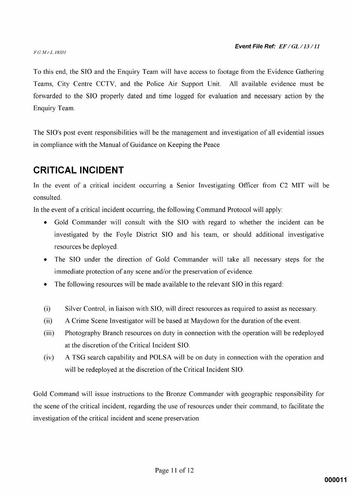### FGMcL18331

To this end, the SIO and the Enquiry Team will have access to footage from the Evidence Gathering Teams, City Centre CCTV, and the Police Air Support Unit. All available evidence must be forwarded to the SIO properly dated and time logged for evaluation and necessary action by the Enquiry Team.

The SIO's post event responsibilities will be the management and investigation of all evidential issues in compliance with the Manual of Guidance on Keeping the Peace

## **CRITICAL INCIDENT**

In the event of a critical incident occurring a Senior Investigating Officer from C2 MIT will be consulted.

In the event of a critical incident occurring, the following Command Protocol will apply:

- Gold Commander will consult with the SIO with regard to whether the incident can be investigated by the Foyle District SIO and his team, or should additional investigative resources be deployed.
- The SIO under the direction of Gold Commander will take all necessary steps for the immediate protection of any scene and/or the preservation of evidence.
- The following resources will be made available to the relevant SIO in this regard:
- $(i)$ Silver Control, in liaison with SIO, will direct resources as required to assist as necessary.
- $(ii)$ A Crime Scene Investigator will be based at Maydown for the duration of the event.
- $(iii)$ Photography Branch resources on duty in connection with the operation will be redeployed at the discretion of the Critical Incident SIO.
- A TSG search capability and POLSA will be on duty in connection with the operation and  $(iv)$ will be redeployed at the discretion of the Critical Incident SIO.

Gold Command will issue instructions to the Bronze Commander with geographic responsibility for the scene of the critical incident, regarding the use of resources under their command, to facilitate the investigation of the critical incident and scene preservation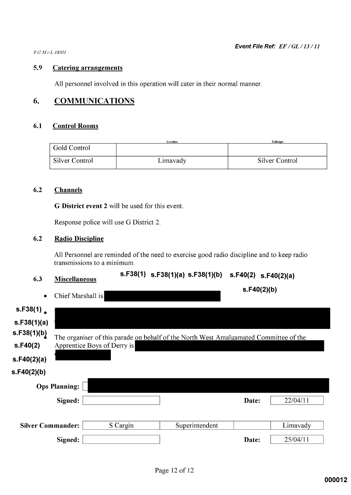$FGMcL$  18331

#### 5.9 **Catering arrangements**

All personnel involved in this operation will cater in their normal manner.

#### 6. **COMMUNICATIONS**

#### $6.1$ **Control Rooms**

|                | Location | Callsian       |
|----------------|----------|----------------|
| Gold Control   |          |                |
| Silver Control | Limavady | Silver Control |

#### $6.2$ **Channels**

G District event 2 will be used for this event.

Response police will use G District 2.

#### $6.2$ **Radio Discipline**

All Personnel are reminded of the need to exercise good radio discipline and to keep radio transmissions to a minimum.

| 6.3 | <b>Miscellaneous</b> |
|-----|----------------------|
|     |                      |

## s.F38(1) s.F38(1)(a) s.F38(1)(b) s.F40(2) s.F40(2)(a)

 $s.F40(2)(b)$ 

| Chief Marshall is |  |
|-------------------|--|

| s.F38(1)                 |                      |                             |                                                                                       |       |          |
|--------------------------|----------------------|-----------------------------|---------------------------------------------------------------------------------------|-------|----------|
| s.F38(1)(a)              |                      |                             |                                                                                       |       |          |
| s.F38(1)(b)              |                      |                             | The organiser of this parade on behalf of the North West Amalgamated Committee of the |       |          |
| s.F40(2)                 |                      | Apprentice Boys of Derry is |                                                                                       |       |          |
| s.F40(2)(a)              |                      |                             |                                                                                       |       |          |
| s.F40(2)(b)              |                      |                             |                                                                                       |       |          |
|                          | <b>Ops Planning:</b> |                             |                                                                                       |       |          |
|                          | Signed:              |                             |                                                                                       | Date: | 22/04/11 |
|                          |                      |                             |                                                                                       |       |          |
| <b>Silver Commander:</b> |                      | S Cargin                    | Superintendent                                                                        |       | Limavady |
|                          | Signed:              |                             |                                                                                       | Date: | 25/04/11 |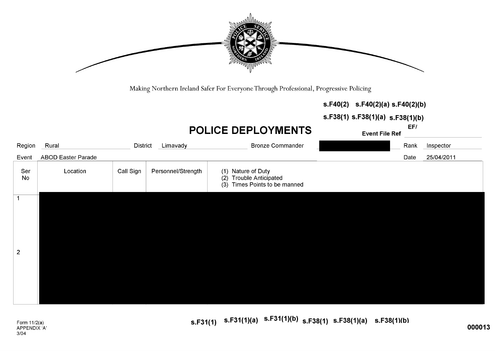

Making Northern Ireland Safer For Everyone Through Professional, Progressive Policing

|  |  | $S.F40(2)$ $S.F40(2)(a) S.F40(2)(b)$ |
|--|--|--------------------------------------|
|--|--|--------------------------------------|

 $s.F38(1) s.F38(1)(a) s.F38(1)(b)$ 

# **POLICE DEPLOYMENTS**

**Event File Ref** 

 $EF/$ 

| Region         | Rural                     | District  | Limavady           | <b>Bronze Commander</b>                                                        | Rank | Inspector  |
|----------------|---------------------------|-----------|--------------------|--------------------------------------------------------------------------------|------|------------|
| Event          | <b>ABOD Easter Parade</b> |           |                    |                                                                                | Date | 25/04/2011 |
| Ser<br>No      | Location                  | Call Sign | Personnel/Strength | (1) Nature of Duty<br>(2) Trouble Anticipated<br>(3) Times Points to be manned |      |            |
|                |                           |           |                    |                                                                                |      |            |
|                |                           |           |                    |                                                                                |      |            |
|                |                           |           |                    |                                                                                |      |            |
|                |                           |           |                    |                                                                                |      |            |
| $\overline{2}$ |                           |           |                    |                                                                                |      |            |
|                |                           |           |                    |                                                                                |      |            |
|                |                           |           |                    |                                                                                |      |            |
|                |                           |           |                    |                                                                                |      |            |
|                |                           |           |                    |                                                                                |      |            |

s.F31(1)  $s.F31(1)(a)$   $s.F31(1)(b)$   $s.F38(1)$   $s.F38(1)(a)$   $s.F38(1)(b)$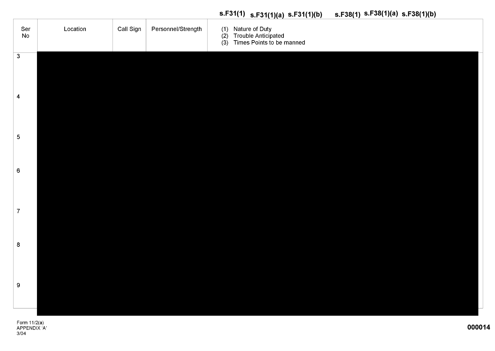# (1) Nature of Duty<br>(2) Trouble Anticipated Call Sign Personnel/Strength Ser Location **No** (3) Times Points to be manned  $\overline{3}$  $\overline{\mathbf{4}}$  $\overline{5}$  $6\phantom{1}6$  $\overline{7}$  $\bf 8$ 9

# s.F31(1)  $s.F31(1)(a)$   $s.F31(1)(b)$   $s.F38(1)$   $s.F38(1)(a)$   $s.F38(1)(b)$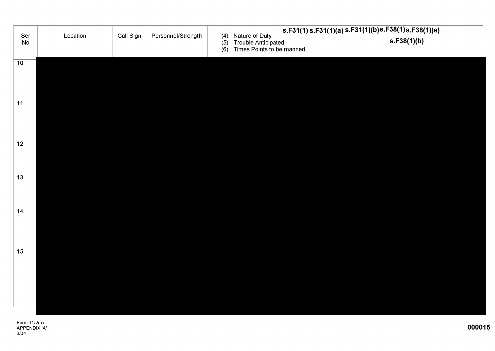|                 |          |           |                    |                   |                                                                           | $s.F31(1)s.F31(1)(a)s.F31(1)(b)s.F38(1)s.F38(1)(a)$ |  |
|-----------------|----------|-----------|--------------------|-------------------|---------------------------------------------------------------------------|-----------------------------------------------------|--|
| Ser<br>No       | Location | Call Sign | Personnel/Strength | (4)<br>(5)<br>(6) | Nature of Duty<br><b>Trouble Anticipated</b><br>Times Points to be manned | s.F38(1)(b)                                         |  |
| $\overline{10}$ |          |           |                    |                   |                                                                           |                                                     |  |
|                 |          |           |                    |                   |                                                                           |                                                     |  |
| 11              |          |           |                    |                   |                                                                           |                                                     |  |
|                 |          |           |                    |                   |                                                                           |                                                     |  |
| 12              |          |           |                    |                   |                                                                           |                                                     |  |
|                 |          |           |                    |                   |                                                                           |                                                     |  |
| 13              |          |           |                    |                   |                                                                           |                                                     |  |
|                 |          |           |                    |                   |                                                                           |                                                     |  |
| 14              |          |           |                    |                   |                                                                           |                                                     |  |
|                 |          |           |                    |                   |                                                                           |                                                     |  |
| 15              |          |           |                    |                   |                                                                           |                                                     |  |
|                 |          |           |                    |                   |                                                                           |                                                     |  |
|                 |          |           |                    |                   |                                                                           |                                                     |  |
|                 |          |           |                    |                   |                                                                           |                                                     |  |
|                 |          |           |                    |                   |                                                                           |                                                     |  |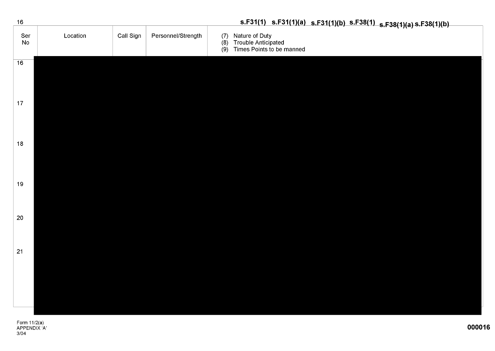| 16              |          |           |                    | s.F31(1) s.F31(1)(a) s.F31(1)(b) s.F38(1) s.F38(1)(a) s.F38(1)(b)                 |
|-----------------|----------|-----------|--------------------|-----------------------------------------------------------------------------------|
| Ser<br>No       | Location | Call Sign | Personnel/Strength | (7) Nature of Duty<br>(8) Trouble Anticipated<br>Times Points to be manned<br>(9) |
| $\overline{16}$ |          |           |                    |                                                                                   |
| 17              |          |           |                    |                                                                                   |
| 18              |          |           |                    |                                                                                   |
| 19              |          |           |                    |                                                                                   |
| 20              |          |           |                    |                                                                                   |
| 21              |          |           |                    |                                                                                   |
|                 |          |           |                    |                                                                                   |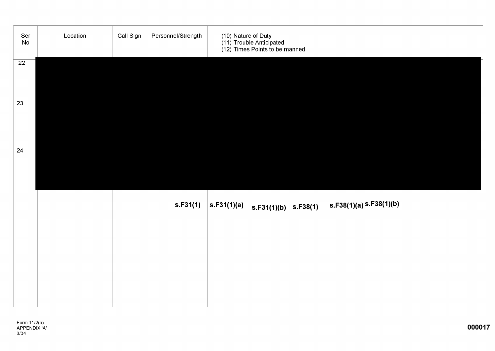| Ser<br>${\sf No}$ | Location | Call Sign | Personnel/Strength | (10) Nature of Duty<br>(11) Trouble Anticipated<br>(12) Times Points to be manned                                             |
|-------------------|----------|-----------|--------------------|-------------------------------------------------------------------------------------------------------------------------------|
| 22                |          |           |                    |                                                                                                                               |
| 23                |          |           |                    |                                                                                                                               |
| 24                |          |           |                    |                                                                                                                               |
|                   |          |           |                    |                                                                                                                               |
|                   |          |           | s.F31(1)           | $ \texttt{s.F31(1)}(a) \quad \texttt{s.F31(1)}(b) \quad \texttt{s.F38(1)} \quad \texttt{s.F38(1)}(a) \, \texttt{s.F38(1)}(b)$ |
|                   |          |           |                    |                                                                                                                               |
|                   |          |           |                    |                                                                                                                               |
|                   |          |           |                    |                                                                                                                               |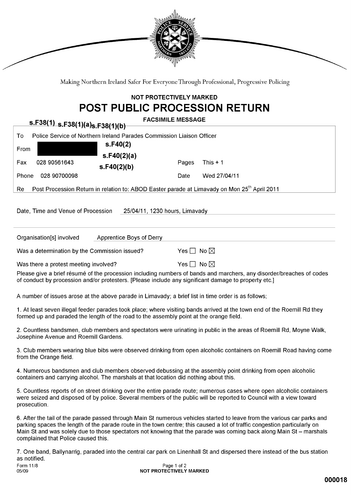

Making Northern Ireland Safer For Everyone Through Professional, Progressive Policing

### **NOT PROTECTIVELY MARKED POST PUBLIC PROCESSION RETURN**

| s.F38(1) s.F38(1)(a)s.F38(1)(b)                                                                                | <b>FACSIMILE MESSAGE</b>                                                                                                                                                                                                                       |
|----------------------------------------------------------------------------------------------------------------|------------------------------------------------------------------------------------------------------------------------------------------------------------------------------------------------------------------------------------------------|
| Police Service of Northern Ireland Parades Commission Liaison Officer<br>To                                    |                                                                                                                                                                                                                                                |
| s.F40(2)<br>From<br>s.F40(2)(a)                                                                                |                                                                                                                                                                                                                                                |
| 028 90561643<br>Fax<br>s.F40(2)(b)                                                                             | Pages<br>This $+1$                                                                                                                                                                                                                             |
| Phone<br>028 90700098                                                                                          | Wed 27/04/11<br>Date                                                                                                                                                                                                                           |
| Post Procession Return in relation to: ABOD Easter parade at Limavady on Mon 25 <sup>th</sup> April 2011<br>Re |                                                                                                                                                                                                                                                |
| Date, Time and Venue of Procession                                                                             | 25/04/11, 1230 hours, Limavady                                                                                                                                                                                                                 |
|                                                                                                                |                                                                                                                                                                                                                                                |
| Organisation[s] involved<br>Apprentice Boys of Derry                                                           |                                                                                                                                                                                                                                                |
| Was a determination by the Commission issued?                                                                  | Yes $\Box$ No $\boxtimes$                                                                                                                                                                                                                      |
| Was there a protest meeting involved?                                                                          | Yes $\Box$ No $\boxtimes$                                                                                                                                                                                                                      |
| of conduct by procession and/or protesters. [Please include any significant damage to property etc.]           | Please give a brief résumé of the procession including numbers of bands and marchers, any disorder/breaches of codes                                                                                                                           |
| A number of issues arose at the above parade in Limavady; a brief list in time order is as follows;            |                                                                                                                                                                                                                                                |
| formed up and paraded the length of the road to the assembly point at the orange field.                        | 1. At least seven illegal feeder parades took place; where visiting bands arrived at the town end of the Roemill Rd they                                                                                                                       |
| Josephine Avenue and Roemill Gardens.                                                                          | 2. Countless bandsmen, club members and spectators were urinating in public in the areas of Roemill Rd, Moyne Walk,                                                                                                                            |
| from the Orange field.                                                                                         | 3. Club members wearing blue bibs were observed drinking from open alcoholic containers on Roemill Road having come                                                                                                                            |
| containers and carrying alcohol. The marshals at that location did nothing about this.                         | 4. Numerous bandsmen and club members observed debussing at the assembly point drinking from open alcoholic                                                                                                                                    |
|                                                                                                                | 5. Countless reports of on street drinking over the entire parade route; numerous cases where open alcoholic containers<br>were seized and disposed of by police. Several members of the public will be reported to Council with a view toward |

6. After the tail of the parade passed through Main St numerous vehicles started to leave from the various car parks and parking spaces the length of the parade route in the town centre; this caused a lot of traffic congestion particularly on Main St and was solely due to those spectators not knowing that the parade was coming back along Main St - marshals complained that Police caused this.

prosecution.

7. One band, Ballynarrig, paraded into the central car park on Linenhall St and dispersed there instead of the bus station as notified. Form 11/8 Page 1 of 2 05/09 NOT PROTECTIVELY MARKED